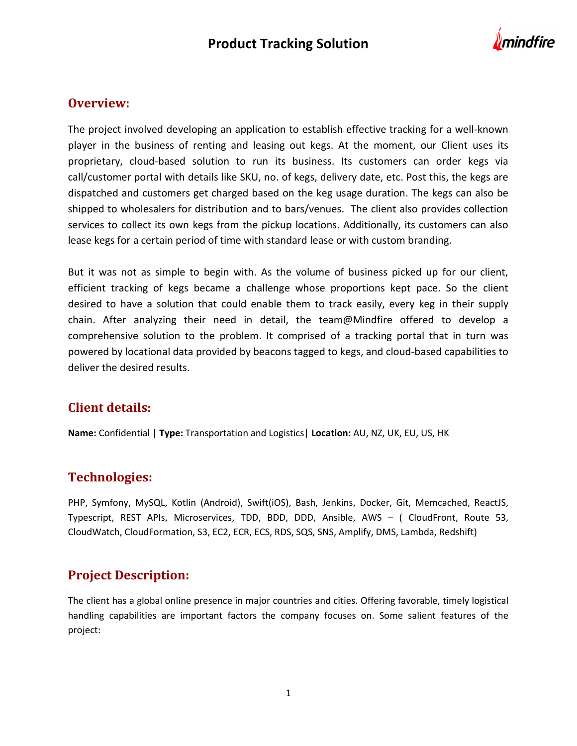

### Overview:

The project involved developing an application to establish effective tracking for a well-known player in the business of renting and leasing out kegs. At the moment, our Client uses its proprietary, cloud-based solution to run its business. Its customers can order kegs via call/customer portal with details like SKU, no. of kegs, delivery date, etc. Post this, the kegs are dispatched and customers get charged based on the keg usage duration. The kegs can also be shipped to wholesalers for distribution and to bars/venues. The client also provides collection services to collect its own kegs from the pickup locations. Additionally, its customers can also lease kegs for a certain period of time with standard lease or with custom branding.

But it was not as simple to begin with. As the volume of business picked up for our client, efficient tracking of kegs became a challenge whose proportions kept pace. So the client desired to have a solution that could enable them to track easily, every keg in their supply chain. After analyzing their need in detail, the team@Mindfire offered to develop a comprehensive solution to the problem. It comprised of a tracking portal that in turn was powered by locational data provided by beacons tagged to kegs, and cloud-based capabilities to deliver the desired results.

## Client details:

Name: Confidential | Type: Transportation and Logistics | Location: AU, NZ, UK, EU, US, HK

## Technologies:

PHP, Symfony, MySQL, Kotlin (Android), Swift(iOS), Bash, Jenkins, Docker, Git, Memcached, ReactJS, Typescript, REST APIs, Microservices, TDD, BDD, DDD, Ansible, AWS – ( CloudFront, Route 53, CloudWatch, CloudFormation, S3, EC2, ECR, ECS, RDS, SQS, SNS, Amplify, DMS, Lambda, Redshift)

## Project Description:

The client has a global online presence in major countries and cities. Offering favorable, timely logistical handling capabilities are important factors the company focuses on. Some salient features of the project: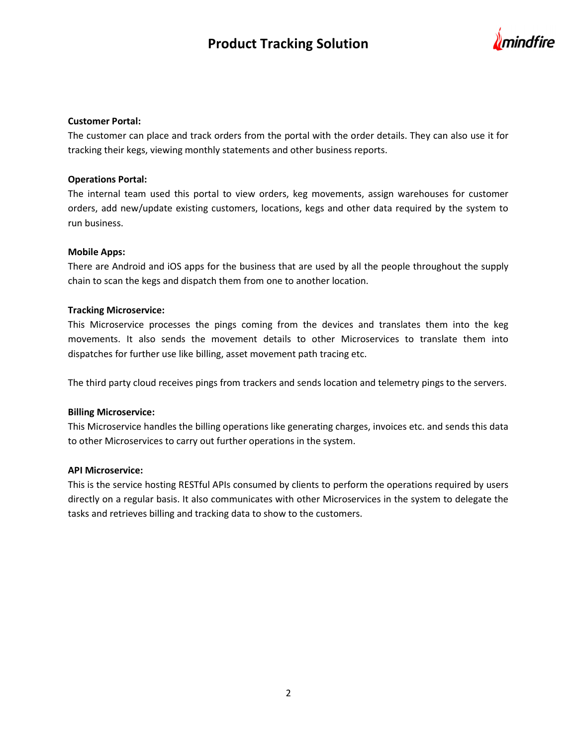# Product Tracking Solution



#### Customer Portal:

The customer can place and track orders from the portal with the order details. They can also use it for tracking their kegs, viewing monthly statements and other business reports.

#### Operations Portal:

The internal team used this portal to view orders, keg movements, assign warehouses for customer orders, add new/update existing customers, locations, kegs and other data required by the system to run business.

#### Mobile Apps:

There are Android and iOS apps for the business that are used by all the people throughout the supply chain to scan the kegs and dispatch them from one to another location.

#### Tracking Microservice:

This Microservice processes the pings coming from the devices and translates them into the keg movements. It also sends the movement details to other Microservices to translate them into dispatches for further use like billing, asset movement path tracing etc.

The third party cloud receives pings from trackers and sends location and telemetry pings to the servers.

#### Billing Microservice:

This Microservice handles the billing operations like generating charges, invoices etc. and sends this data to other Microservices to carry out further operations in the system.

#### API Microservice:

This is the service hosting RESTful APIs consumed by clients to perform the operations required by users directly on a regular basis. It also communicates with other Microservices in the system to delegate the tasks and retrieves billing and tracking data to show to the customers.